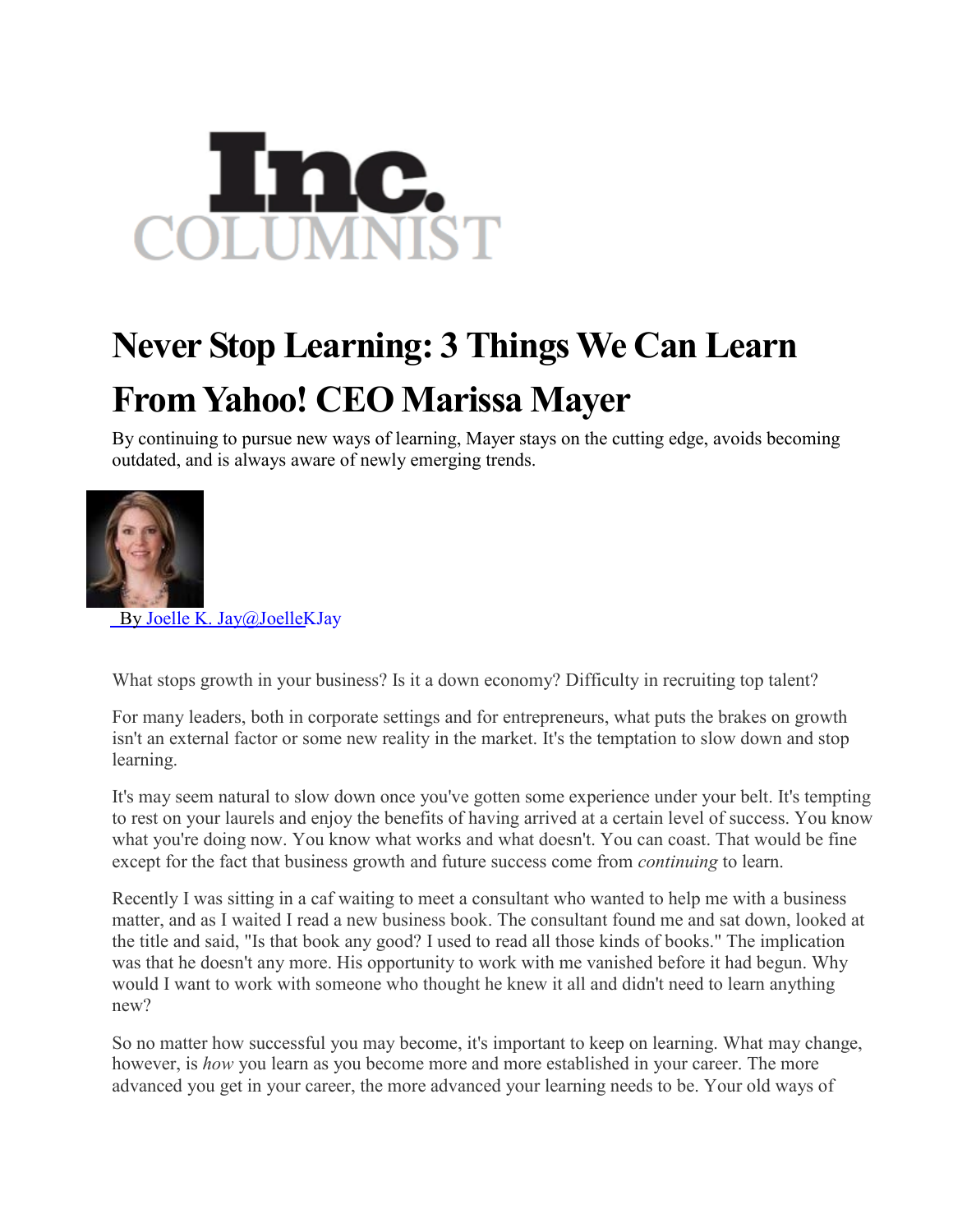

## **Never Stop Learning: 3 Things We Can Learn From Yahoo! CEO Marissa Mayer**

By continuing to pursue new ways of learning, Mayer stays on the cutting edge, avoids becoming outdated, and is always aware of newly emerging trends.



By Joelle K. [Jay@JoelleKJay](http://www.inc.com/author/joelle-k-jay)

What stops growth in your business? Is it a down economy? Difficulty in recruiting top talent?

For many leaders, both in corporate settings and for entrepreneurs, what puts the brakes on growth isn't an external factor or some new reality in the market. It's the temptation to slow down and stop learning.

It's may seem natural to slow down once you've gotten some experience under your belt. It's tempting to rest on your laurels and enjoy the benefits of having arrived at a certain level of success. You know what you're doing now. You know what works and what doesn't. You can coast. That would be fine except for the fact that business growth and future success come from *continuing* to learn.

Recently I was sitting in a caf waiting to meet a consultant who wanted to help me with a business matter, and as I waited I read a new business book. The consultant found me and sat down, looked at the title and said, "Is that book any good? I used to read all those kinds of books." The implication was that he doesn't any more. His opportunity to work with me vanished before it had begun. Why would I want to work with someone who thought he knew it all and didn't need to learn anything new?

So no matter how successful you may become, it's important to keep on learning. What may change, however, is *how* you learn as you become more and more established in your career. The more advanced you get in your career, the more advanced your learning needs to be. Your old ways of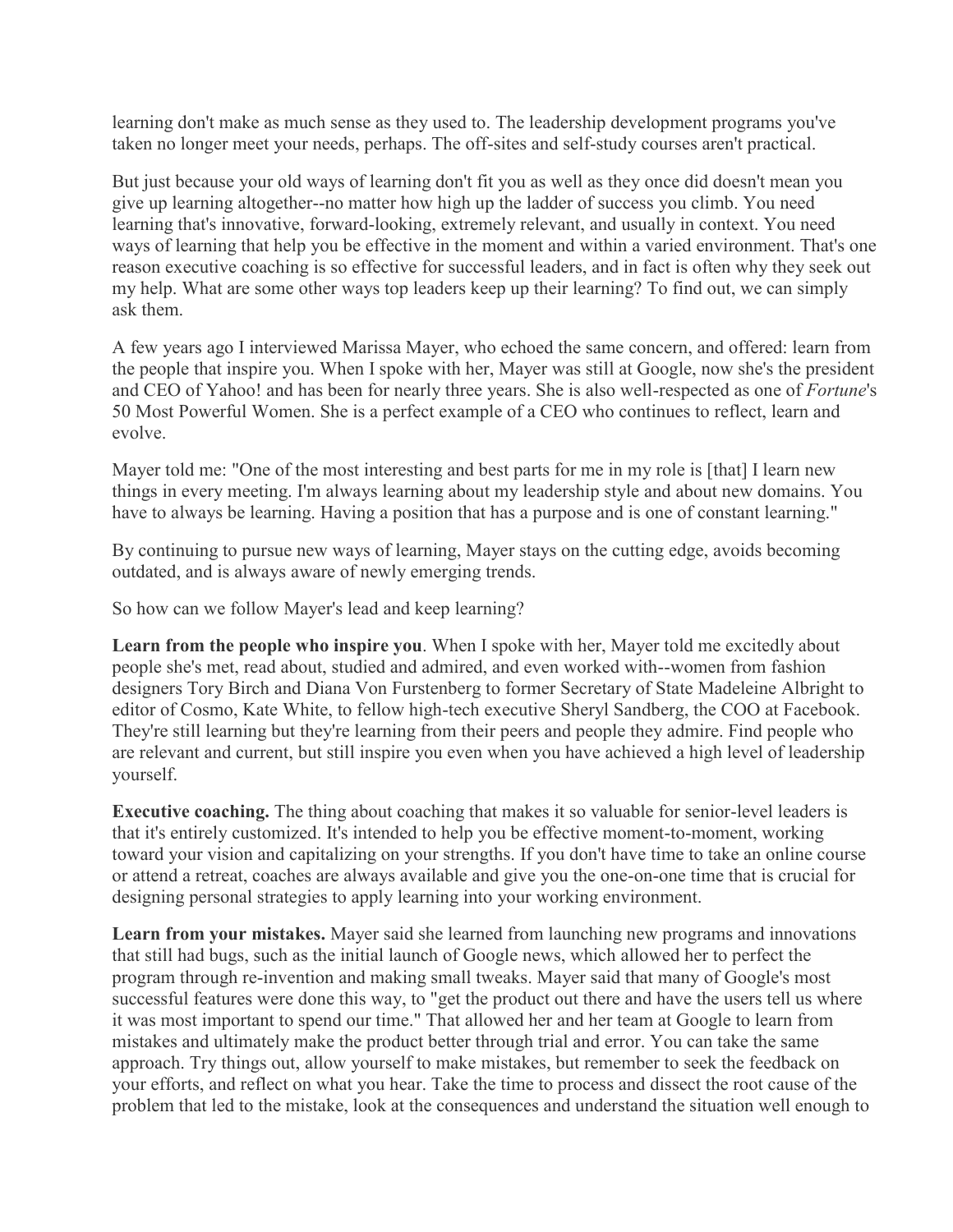learning don't make as much sense as they used to. The leadership development programs you've taken no longer meet your needs, perhaps. The off-sites and self-study courses aren't practical.

But just because your old ways of learning don't fit you as well as they once did doesn't mean you give up learning altogether--no matter how high up the ladder of success you climb. You need learning that's innovative, forward-looking, extremely relevant, and usually in context. You need ways of learning that help you be effective in the moment and within a varied environment. That's one reason executive coaching is so effective for successful leaders, and in fact is often why they seek out my help. What are some other ways top leaders keep up their learning? To find out, we can simply ask them.

A few years ago I interviewed Marissa Mayer, who echoed the same concern, and offered: learn from the people that inspire you. When I spoke with her, Mayer was still at Google, now she's the president and CEO of Yahoo! and has been for nearly three years. She is also well-respected as one of *Fortune*'s 50 Most Powerful Women. She is a perfect example of a CEO who continues to reflect, learn and evolve.

Mayer told me: "One of the most interesting and best parts for me in my role is [that] I learn new things in every meeting. I'm always learning about my leadership style and about new domains. You have to always be learning. Having a position that has a purpose and is one of constant learning."

By continuing to pursue new ways of learning, Mayer stays on the cutting edge, avoids becoming outdated, and is always aware of newly emerging trends.

So how can we follow Mayer's lead and keep learning?

**Learn from the people who inspire you**. When I spoke with her, Mayer told me excitedly about people she's met, read about, studied and admired, and even worked with--women from fashion designers Tory Birch and Diana Von Furstenberg to former Secretary of State Madeleine Albright to editor of Cosmo, Kate White, to fellow high-tech executive Sheryl Sandberg, the COO at Facebook. They're still learning but they're learning from their peers and people they admire. Find people who are relevant and current, but still inspire you even when you have achieved a high level of leadership yourself.

**Executive coaching.** The thing about coaching that makes it so valuable for senior-level leaders is that it's entirely customized. It's intended to help you be effective moment-to-moment, working toward your vision and capitalizing on your strengths. If you don't have time to take an online course or attend a retreat, coaches are always available and give you the one-on-one time that is crucial for designing personal strategies to apply learning into your working environment.

**Learn from your mistakes.** Mayer said she learned from launching new programs and innovations that still had bugs, such as the initial launch of Google news, which allowed her to perfect the program through re-invention and making small tweaks. Mayer said that many of Google's most successful features were done this way, to "get the product out there and have the users tell us where it was most important to spend our time." That allowed her and her team at Google to learn from mistakes and ultimately make the product better through trial and error. You can take the same approach. Try things out, allow yourself to make mistakes, but remember to seek the feedback on your efforts, and reflect on what you hear. Take the time to process and dissect the root cause of the problem that led to the mistake, look at the consequences and understand the situation well enough to